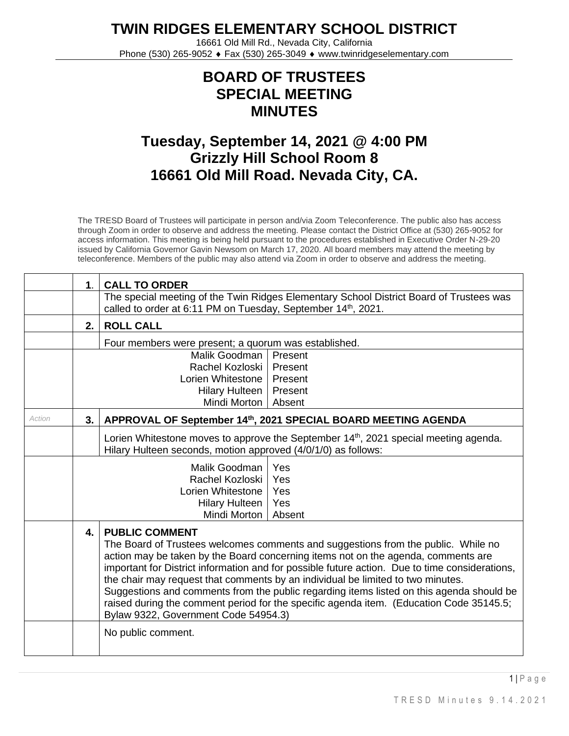**TWIN RIDGES ELEMENTARY SCHOOL DISTRICT**

16661 Old Mill Rd., Nevada City, California Phone (530) 265-9052 ♦ Fax (530) 265-3049 ♦ www.twinridgeselementary.com

## **BOARD OF TRUSTEES SPECIAL MEETING MINUTES**

## **Tuesday, September 14, 2021 @ 4:00 PM Grizzly Hill School Room 8 16661 Old Mill Road. Nevada City, CA.**

The TRESD Board of Trustees will participate in person and/via Zoom Teleconference. The public also has access through Zoom in order to observe and address the meeting. Please contact the District Office at (530) 265-9052 for access information. This meeting is being held pursuant to the procedures established in Executive Order N-29-20 issued by California Governor Gavin Newsom on March 17, 2020. All board members may attend the meeting by teleconference. Members of the public may also attend via Zoom in order to observe and address the meeting.

|               | 1 <sub>1</sub>       | <b>CALL TO ORDER</b>                                                                           |                                                                                                  |  |
|---------------|----------------------|------------------------------------------------------------------------------------------------|--------------------------------------------------------------------------------------------------|--|
|               |                      | called to order at 6:11 PM on Tuesday, September 14th, 2021.                                   | The special meeting of the Twin Ridges Elementary School District Board of Trustees was          |  |
|               | 2.                   | <b>ROLL CALL</b>                                                                               |                                                                                                  |  |
|               |                      | Four members were present; a quorum was established.                                           |                                                                                                  |  |
|               |                      | Malik Goodman   Present                                                                        |                                                                                                  |  |
|               |                      | Rachel Kozloski                                                                                | Present                                                                                          |  |
|               |                      | Lorien Whitestone                                                                              | Present                                                                                          |  |
|               |                      | Hilary Hulteen                                                                                 | Present                                                                                          |  |
|               |                      | Mindi Morton                                                                                   | Absent                                                                                           |  |
| <b>Action</b> | 3.                   | APPROVAL OF September 14th, 2021 SPECIAL BOARD MEETING AGENDA                                  |                                                                                                  |  |
|               |                      |                                                                                                | Lorien Whitestone moves to approve the September 14 <sup>th</sup> , 2021 special meeting agenda. |  |
|               |                      | Hilary Hulteen seconds, motion approved (4/0/1/0) as follows:                                  |                                                                                                  |  |
|               | Malik Goodman<br>Yes |                                                                                                |                                                                                                  |  |
|               |                      | Rachel Kozloski                                                                                | Yes                                                                                              |  |
|               |                      | Lorien Whitestone                                                                              | Yes                                                                                              |  |
|               |                      | <b>Hilary Hulteen</b>                                                                          | Yes                                                                                              |  |
|               |                      | Mindi Morton                                                                                   | Absent                                                                                           |  |
|               | 4.                   | <b>PUBLIC COMMENT</b>                                                                          |                                                                                                  |  |
|               |                      | The Board of Trustees welcomes comments and suggestions from the public. While no              |                                                                                                  |  |
|               |                      | action may be taken by the Board concerning items not on the agenda, comments are              |                                                                                                  |  |
|               |                      | important for District information and for possible future action. Due to time considerations, |                                                                                                  |  |
|               |                      | the chair may request that comments by an individual be limited to two minutes.                |                                                                                                  |  |
|               |                      |                                                                                                | Suggestions and comments from the public regarding items listed on this agenda should be         |  |
|               |                      |                                                                                                | raised during the comment period for the specific agenda item. (Education Code 35145.5;          |  |
|               |                      | Bylaw 9322, Government Code 54954.3)                                                           |                                                                                                  |  |
|               |                      | No public comment.                                                                             |                                                                                                  |  |
|               |                      |                                                                                                |                                                                                                  |  |
|               |                      |                                                                                                |                                                                                                  |  |

1 | P a g e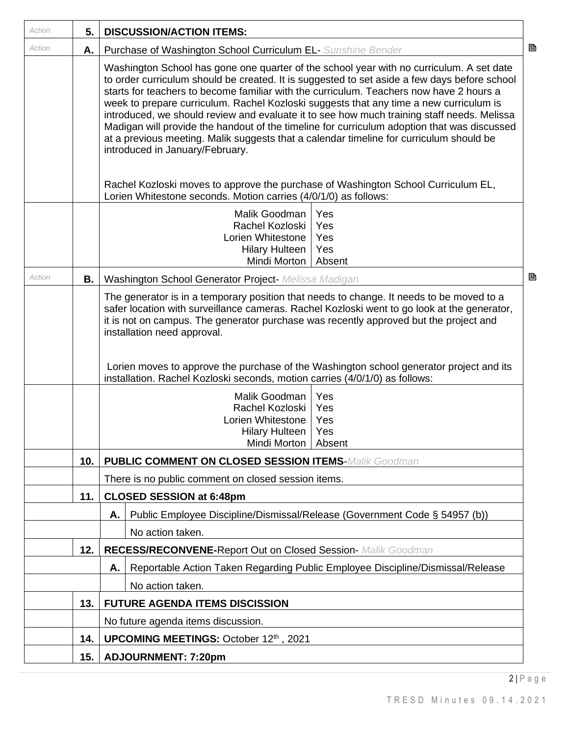| Action | 5.        | <b>DISCUSSION/ACTION ITEMS:</b>                                                                                                                                                                                                                                                                                                                                                                                                                                                                                                                                                                                                                                                                                                                                                               |  |  |  |
|--------|-----------|-----------------------------------------------------------------------------------------------------------------------------------------------------------------------------------------------------------------------------------------------------------------------------------------------------------------------------------------------------------------------------------------------------------------------------------------------------------------------------------------------------------------------------------------------------------------------------------------------------------------------------------------------------------------------------------------------------------------------------------------------------------------------------------------------|--|--|--|
| Action | А.        | 昏<br>Purchase of Washington School Curriculum EL- Sunshine Bender                                                                                                                                                                                                                                                                                                                                                                                                                                                                                                                                                                                                                                                                                                                             |  |  |  |
|        |           | Washington School has gone one quarter of the school year with no curriculum. A set date<br>to order curriculum should be created. It is suggested to set aside a few days before school<br>starts for teachers to become familiar with the curriculum. Teachers now have 2 hours a<br>week to prepare curriculum. Rachel Kozloski suggests that any time a new curriculum is<br>introduced, we should review and evaluate it to see how much training staff needs. Melissa<br>Madigan will provide the handout of the timeline for curriculum adoption that was discussed<br>at a previous meeting. Malik suggests that a calendar timeline for curriculum should be<br>introduced in January/February.<br>Rachel Kozloski moves to approve the purchase of Washington School Curriculum EL, |  |  |  |
|        |           | Lorien Whitestone seconds. Motion carries (4/0/1/0) as follows:<br>Malik Goodman<br>Yes                                                                                                                                                                                                                                                                                                                                                                                                                                                                                                                                                                                                                                                                                                       |  |  |  |
|        |           | Rachel Kozloski<br>Yes                                                                                                                                                                                                                                                                                                                                                                                                                                                                                                                                                                                                                                                                                                                                                                        |  |  |  |
|        |           | Lorien Whitestone<br>Yes<br>Hilary Hulteen<br>Yes                                                                                                                                                                                                                                                                                                                                                                                                                                                                                                                                                                                                                                                                                                                                             |  |  |  |
|        |           | Mindi Morton<br>Absent                                                                                                                                                                                                                                                                                                                                                                                                                                                                                                                                                                                                                                                                                                                                                                        |  |  |  |
| Action | <b>B.</b> | B<br>Washington School Generator Project- Melissa Madigan                                                                                                                                                                                                                                                                                                                                                                                                                                                                                                                                                                                                                                                                                                                                     |  |  |  |
|        |           | The generator is in a temporary position that needs to change. It needs to be moved to a<br>safer location with surveillance cameras. Rachel Kozloski went to go look at the generator,<br>it is not on campus. The generator purchase was recently approved but the project and<br>installation need approval.<br>Lorien moves to approve the purchase of the Washington school generator project and its<br>installation. Rachel Kozloski seconds, motion carries (4/0/1/0) as follows:                                                                                                                                                                                                                                                                                                     |  |  |  |
|        |           | Malik Goodman<br>Yes<br>Rachel Kozloski<br>Yes<br>Lorien Whitestone<br>Yes<br><b>Hilary Hulteen</b><br>Yes                                                                                                                                                                                                                                                                                                                                                                                                                                                                                                                                                                                                                                                                                    |  |  |  |
|        |           | Mindi Morton   Absent                                                                                                                                                                                                                                                                                                                                                                                                                                                                                                                                                                                                                                                                                                                                                                         |  |  |  |
|        | 10.       | <b>PUBLIC COMMENT ON CLOSED SESSION ITEMS-Malik Goodman</b>                                                                                                                                                                                                                                                                                                                                                                                                                                                                                                                                                                                                                                                                                                                                   |  |  |  |
|        |           | There is no public comment on closed session items.                                                                                                                                                                                                                                                                                                                                                                                                                                                                                                                                                                                                                                                                                                                                           |  |  |  |
|        | 11.       | <b>CLOSED SESSION at 6:48pm</b>                                                                                                                                                                                                                                                                                                                                                                                                                                                                                                                                                                                                                                                                                                                                                               |  |  |  |
|        |           | Public Employee Discipline/Dismissal/Release (Government Code § 54957 (b))<br>Α.                                                                                                                                                                                                                                                                                                                                                                                                                                                                                                                                                                                                                                                                                                              |  |  |  |
|        |           | No action taken.                                                                                                                                                                                                                                                                                                                                                                                                                                                                                                                                                                                                                                                                                                                                                                              |  |  |  |
|        | 12.       | RECESS/RECONVENE-Report Out on Closed Session- Malik Goodman                                                                                                                                                                                                                                                                                                                                                                                                                                                                                                                                                                                                                                                                                                                                  |  |  |  |
|        |           | Reportable Action Taken Regarding Public Employee Discipline/Dismissal/Release<br>А.                                                                                                                                                                                                                                                                                                                                                                                                                                                                                                                                                                                                                                                                                                          |  |  |  |
|        |           | No action taken.                                                                                                                                                                                                                                                                                                                                                                                                                                                                                                                                                                                                                                                                                                                                                                              |  |  |  |
|        | 13.       | <b>FUTURE AGENDA ITEMS DISCISSION</b>                                                                                                                                                                                                                                                                                                                                                                                                                                                                                                                                                                                                                                                                                                                                                         |  |  |  |
|        |           | No future agenda items discussion.                                                                                                                                                                                                                                                                                                                                                                                                                                                                                                                                                                                                                                                                                                                                                            |  |  |  |
|        | 14.       | UPCOMING MEETINGS: October 12th, 2021                                                                                                                                                                                                                                                                                                                                                                                                                                                                                                                                                                                                                                                                                                                                                         |  |  |  |
|        | 15.       | <b>ADJOURNMENT: 7:20pm</b>                                                                                                                                                                                                                                                                                                                                                                                                                                                                                                                                                                                                                                                                                                                                                                    |  |  |  |

 $2 | P a g e$